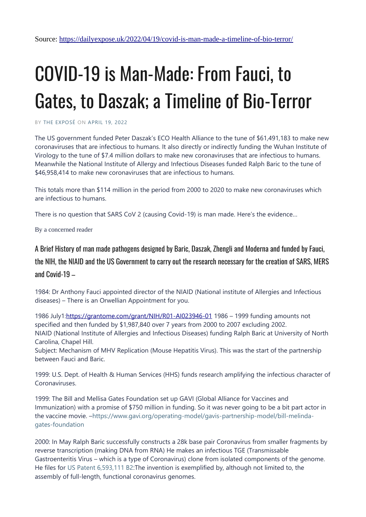# COVID-19 is Man-Made: From Fauci, to Gates, to Daszak; a Timeline of Bio-Terror

BY [THE EXPOSÉ](https://dailyexpose.uk/author/jonnywalkersb/) ON [APRIL 19, 2022](https://dailyexpose.uk/2022/04/19/covid-is-man-made-a-timeline-of-bio-terror/)

The US government funded Peter Daszak's ECO Health Alliance to the tune of \$61,491,183 to make new coronaviruses that are infectious to humans. It also directly or indirectly funding the Wuhan Institute of Virology to the tune of \$7.4 million dollars to make new coronaviruses that are infectious to humans. Meanwhile the National Institute of Allergy and Infectious Diseases funded Ralph Baric to the tune of \$46,958,414 to make new coronaviruses that are infectious to humans.

This totals more than \$114 million in the period from 2000 to 2020 to make new coronaviruses which are infectious to humans.

There is no question that SARS CoV 2 (causing Covid-19) is man made. Here's the evidence…

By a concerned reader

#### A Brief History of man made pathogens designed by Baric, Daszak, Zhengli and Moderna and funded by Fauci,

the NIH, the NIAID and the US Government to carry out the research necessary for the creation of SARS, MERS and Covid-19  $-$ 

1984: Dr Anthony Fauci appointed director of the NIAID (National institute of Allergies and Infectious diseases) – There is an Orwellian Appointment for you.

1986 July1[:https://grantome.com/grant/NIH/R01-AI023946-01](https://grantome.com/grant/NIH/R01-AI023946-01) 1986 – 1999 funding amounts not specified and then funded by \$1,987,840 over 7 years from 2000 to 2007 excluding 2002. NIAID (National Institute of Allergies and Infectious Diseases) funding Ralph Baric at University of North Carolina, Chapel Hill.

Subject: Mechanism of MHV Replication (Mouse Hepatitis Virus). This was the start of the partnership between Fauci and Baric.

1999: U.S. Dept. of Health & Human Services (HHS) funds research amplifying the infectious character of Coronaviruses.

1999: The Bill and Mellisa Gates Foundation set up GAVI (Global Alliance for Vaccines and Immunization) with a promise of \$750 million in funding. So it was never going to be a bit part actor in the vaccine movie. [–https://www.gavi.org/operating-model/gavis-partnership-model/bill-melinda](https://www.gavi.org/operating-model/gavis-partnership-model/bill-melinda-gates-foundation)[gates-foundation](https://www.gavi.org/operating-model/gavis-partnership-model/bill-melinda-gates-foundation)

2000: In May Ralph Baric successfully constructs a 28k base pair Coronavirus from smaller fragments by reverse transcription (making DNA from RNA) He makes an infectious TGE (Transmissable Gastroenteritis Virus – which is a type of Coronavirus) clone from isolated components of the genome. He files for [US Patent 6,593,111 B2:](https://patents.google.com/patent/US6593111B2/en)The invention is exemplified by, although not limited to, the assembly of full-length, functional coronavirus genomes.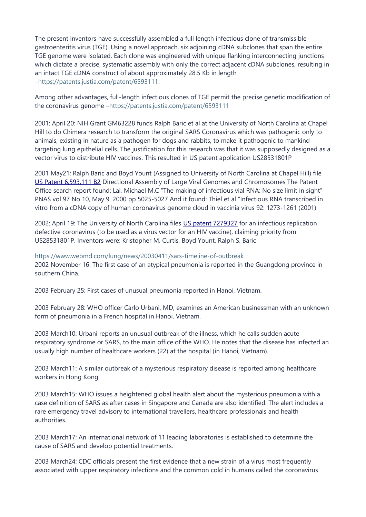The present inventors have successfully assembled a full length infectious clone of transmissible gastroenteritis virus (TGE). Using a novel approach, six adjoining cDNA subclones that span the entire TGE genome were isolated. Each clone was engineered with unique flanking interconnecting junctions which dictate a precise, systematic assembly with only the correct adjacent cDNA subclones, resulting in an intact TGE cDNA construct of about approximately 28.5 Kb in length [–https://patents.justia.com/patent/6593111.](https://patents.justia.com/patent/6593111)

Among other advantages, full-length infectious clones of TGE permit the precise genetic modification of the coronavirus genome –<https://patents.justia.com/patent/6593111>

2001: April 20: NIH Grant GM63228 funds Ralph Baric et al at the University of North Carolina at Chapel Hill to do Chimera research to transform the original SARS Coronavirus which was pathogenic only to animals, existing in nature as a pathogen for dogs and rabbits, to make it pathogenic to mankind targeting lung epithelial cells. The justification for this research was that it was supposedly designed as a vector virus to distribute HIV vaccines. This resulted in US patent application US28531801P

2001 May21: Ralph Baric and Boyd Yount (Assigned to University of North Carolina at Chapel Hill) file [US Patent 6,593,111 B2](https://patents.google.com/patent/US6593111B2/en) Directional Assembly of Large Viral Genomes and Chromosomes The Patent Office search report found: Lai, Michael M.C "The making of infectious vial RNA: No size limit in sight" PNAS vol 97 No 10, May 9, 2000 pp 5025-5027 And it found: Thiel et al "Infectious RNA transcribed in vitro from a cDNA copy of human coronavirus genome cloud in vaccinia virus 92: 1273-1261 (2001)

2002: April 19: The University of North Carolina files [US patent 7279327](https://patents.google.com/patent/US7279327B2/en?oq=US+patent+7279327) for an infectious replication defective coronavirus (to be used as a virus vector for an HIV vaccine), claiming priority from US28531801P. Inventors were: Kristopher M. Curtis, Boyd Yount, Ralph S. Baric

<https://www.webmd.com/lung/news/20030411/sars-timeline-of-outbreak> 2002 November 16: The first case of an atypical pneumonia is reported in the Guangdong province in southern China.

2003 February 25: First cases of unusual pneumonia reported in Hanoi, Vietnam.

2003 February 28: WHO officer Carlo Urbani, MD, examines an American businessman with an unknown form of pneumonia in a French hospital in Hanoi, Vietnam.

2003 March10: Urbani reports an unusual outbreak of the illness, which he calls sudden acute respiratory syndrome or SARS, to the main office of the WHO. He notes that the disease has infected an usually high number of healthcare workers (22) at the hospital (in Hanoi, Vietnam).

2003 March11: A similar outbreak of a mysterious respiratory disease is reported among healthcare workers in Hong Kong.

2003 March15: WHO issues a heightened global health alert about the mysterious pneumonia with a case definition of SARS as after cases in Singapore and Canada are also identified. The alert includes a rare emergency travel advisory to international travellers, healthcare professionals and health authorities.

2003 March17: An international network of 11 leading laboratories is established to determine the cause of SARS and develop potential treatments.

2003 March24: CDC officials present the first evidence that a new strain of a virus most frequently associated with upper respiratory infections and the common cold in humans called the coronavirus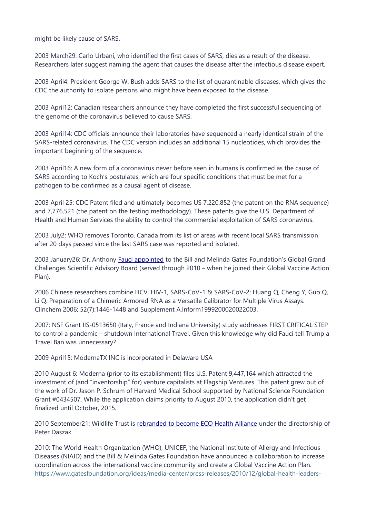might be likely cause of SARS.

2003 March29: Carlo Urbani, who identified the first cases of SARS, dies as a result of the disease. Researchers later suggest naming the agent that causes the disease after the infectious disease expert.

2003 April4: President George W. Bush adds SARS to the list of quarantinable diseases, which gives the CDC the authority to isolate persons who might have been exposed to the disease.

2003 April12: Canadian researchers announce they have completed the first successful sequencing of the genome of the coronavirus believed to cause SARS.

2003 April14: CDC officials announce their laboratories have sequenced a nearly identical strain of the SARS-related coronavirus. The CDC version includes an additional 15 nucleotides, which provides the important beginning of the sequence.

2003 April16: A new form of a coronavirus never before seen in humans is confirmed as the cause of SARS according to Koch's postulates, which are four specific conditions that must be met for a pathogen to be confirmed as a causal agent of disease.

2003 April 25: CDC Patent filed and ultimately becomes US 7,220,852 (the patent on the RNA sequence) and 7,776,521 (the patent on the testing methodology). These patents give the U.S. Department of Health and Human Services the ability to control the commercial exploitation of SARS coronavirus.

2003 July2: WHO removes Toronto, Canada from its list of areas with recent local SARS transmission after 20 days passed since the last SARS case was reported and isolated.

2003 January26: Dr. Anthony [Fauci appointed](https://www.gatesfoundation.org/ideas/media-center/press-releases/2003/01/grand-challenges-in-global-health) to the Bill and Melinda Gates Foundation's Global Grand Challenges Scientific Advisory Board (served through 2010 – when he joined their Global Vaccine Action Plan).

2006 Chinese researchers combine HCV, HIV-1, SARS-CoV-1 & SARS-CoV-2: Huang Q, Cheng Y, Guo Q, Li Q. Preparation of a Chimeric Armored RNA as a Versatile Calibrator for Multiple Virus Assays. Clinchem 2006; 52(7):1446-1448 and Supplement A.Inform1999200020022003.

2007: NSF Grant IIS-0513650 (Italy, France and Indiana University) study addresses FIRST CRITICAL STEP to control a pandemic – shutdown International Travel. Given this knowledge why did Fauci tell Trump a Travel Ban was unnecessary?

2009 April15: ModernaTX INC is incorporated in Delaware USA

2010 August 6: Moderna (prior to its establishment) files U.S. Patent 9,447,164 which attracted the investment of (and "inventorship" for) venture capitalists at Flagship Ventures. This patent grew out of the work of Dr. Jason P. Schrum of Harvard Medical School supported by National Science Foundation Grant #0434507. While the application claims priority to August 2010, the application didn't get finalized until October, 2015.

2010 September21: Wildlife Trust is [rebranded to become ECO Health Alliance](https://www.prnewswire.com/news-releases/entering-its-fifth-decade-wildlife-trust-re-brands-as-ecohealth-alliance-103425244.html) under the directorship of Peter Daszak.

2010: The World Health Organization (WHO), UNICEF, the National Institute of Allergy and Infectious Diseases (NIAID) and the Bill & Melinda Gates Foundation have announced a collaboration to increase coordination across the international vaccine community and create a Global Vaccine Action Plan. [https://www.gatesfoundation.org/ideas/media-center/press-releases/2010/12/global-health-leaders-](https://www.gatesfoundation.org/ideas/media-center/press-releases/2010/12/global-health-leaders-launch-decade-of-vaccines-collaboration)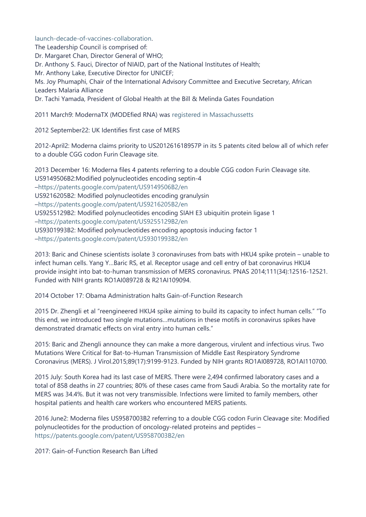[launch-decade-of-vaccines-collaboration.](https://www.gatesfoundation.org/ideas/media-center/press-releases/2010/12/global-health-leaders-launch-decade-of-vaccines-collaboration)

The Leadership Council is comprised of: Dr. Margaret Chan, Director General of WHO; Dr. Anthony S. Fauci, Director of NIAID, part of the National Institutes of Health; Mr. Anthony Lake, Executive Director for UNICEF; Ms. Joy Phumaphi, Chair of the International Advisory Committee and Executive Secretary, African Leaders Malaria Alliance Dr. Tachi Yamada, President of Global Health at the Bill & Melinda Gates Foundation

2011 March9: ModernaTX (MODEfied RNA) was [registered in Massachussetts](https://corp.sec.state.ma.us/CorpWeb/CorpSearch/CorpSummary.aspx?sysvalue=D372hyRvTxChojS_9xWC_rQYnhliIZLQT6_6C5UJaJg-)

2012 September22: UK Identifies first case of MERS

2012-April2: Moderna claims priority to US201261618957P in its 5 patents cited below all of which refer to a double CGG codon Furin Cleavage site.

2013 December 16: Moderna files 4 patents referring to a double CGG codon Furin Cleavage site. US9149506B2:Modified polynucleotides encoding septin-4 [–https://patents.google.com/patent/US9149506B2/en](https://patents.google.com/patent/US9301993B2/en) US9216205B2: Modified polynucleotides encoding granulysin [–https://patents.google.com/patent/US9216205B2/en](https://patents.google.com/patent/US9301993B2/en) US9255129B2: Modified polynucleotides encoding SIAH E3 ubiquitin protein ligase 1 [–https://patents.google.com/patent/US9255129B2/en](https://patents.google.com/patent/US9301993B2/en) US9301993B2: Modified polynucleotides encoding apoptosis inducing factor 1 [–https://patents.google.com/patent/US9301993B2/en](https://patents.google.com/patent/US9301993B2/en)

2013: Baric and Chinese scientists isolate 3 coronaviruses from bats with HKU4 spike protein – unable to infect human cells. Yang Y…Baric RS, et al. Receptor usage and cell entry of bat coronavirus HKU4 provide insight into bat-to-human transmission of MERS coronavirus. PNAS 2014;111(34):12516-12521. Funded with NIH grants RO1AI089728 & R21AI109094.

2014 October 17: Obama Administration halts Gain-of-Function Research

2015 Dr. Zhengli et al "reengineered HKU4 spike aiming to build its capacity to infect human cells." "To this end, we introduced two single mutations…mutations in these motifs in coronavirus spikes have demonstrated dramatic effects on viral entry into human cells."

2015: Baric and Zhengli announce they can make a more dangerous, virulent and infectious virus. Two Mutations Were Critical for Bat-to-Human Transmission of Middle East Respiratory Syndrome Coronavirus (MERS). J Virol.2015;89(17):9199-9123. Funded by NIH grants RO1AI089728, RO1AI110700.

2015 July: South Korea had its last case of MERS. There were 2,494 confirmed laboratory cases and a total of 858 deaths in 27 countries; 80% of these cases came from Saudi Arabia. So the mortality rate for MERS was 34.4%. But it was not very transmissible. Infections were limited to family members, other hospital patients and health care workers who encountered MERS patients.

2016 June2: Moderna files US9587003B2 referring to a double CGG codon Furin Cleavage site: Modified polynucleotides for the production of oncology-related proteins and peptides – <https://patents.google.com/patent/US9587003B2/en>

2017: Gain-of-Function Research Ban Lifted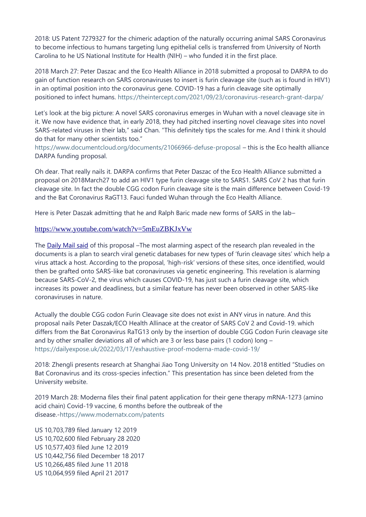2018: US Patent 7279327 for the chimeric adaption of the naturally occurring animal SARS Coronavirus to become infectious to humans targeting lung epithelial cells is transferred from University of North Carolina to he US National Institute for Health (NIH) – who funded it in the first place.

2018 March 27: Peter Daszac and the Eco Health Alliance in 2018 submitted a proposal to DARPA to do gain of function research on SARS coronaviruses to insert is furin cleavage site (such as is found in HIV1) in an optimal position into the coronavirus gene. COVID-19 has a furin cleavage site optimally positioned to infect humans. <https://theintercept.com/2021/09/23/coronavirus-research-grant-darpa/>

Let's look at the big picture: A novel SARS coronavirus emerges in Wuhan with a novel cleavage site in it. We now have evidence that, in early 2018, they had pitched inserting novel cleavage sites into novel SARS-related viruses in their lab," said Chan. "This definitely tips the scales for me. And I think it should do that for many other scientists too."

<https://www.documentcloud.org/documents/21066966-defuse-proposal> – this is the Eco health alliance DARPA funding proposal.

Oh dear. That really nails it. DARPA confirms that Peter Daszac of the Eco Health Alliance submitted a proposal on 2018March27 to add an HIV1 type furin cleavage site to SARS1. SARS CoV 2 has that furin cleavage site. In fact the double CGG codon Furin cleavage site is the main difference between Covid-19 and the Bat Coronavirus RaGT13. Fauci funded Wuhan through the Eco Health Alliance.

Here is Peter Daszak admitting that he and Ralph Baric made new forms of SARS in the lab–

#### <https://www.youtube.com/watch?v=5mEuZBKJxVw>

The [Daily Mail said](https://www.dailymail.co.uk/news/article-10028443/Lancets-COVID-origins-panel-disbands-ties-Peter-Daszaks-EcoHealth-Alliance.html) of this proposal –The most alarming aspect of the research plan revealed in the documents is a plan to search viral genetic databases for new types of 'furin cleavage sites' which help a virus attack a host. According to the proposal, 'high-risk' versions of these sites, once identified, would then be grafted onto SARS-like bat coronaviruses via genetic engineering. This revelation is alarming because SARS-CoV-2, the virus which causes COVID-19, has just such a furin cleavage site, which increases its power and deadliness, but a similar feature has never been observed in other SARS-like coronaviruses in nature.

Actually the double CGG codon Furin Cleavage site does not exist in ANY virus in nature. And this proposal nails Peter Daszak/ECO Health Allinace at the creator of SARS CoV 2 and Covid-19. which differs from the Bat Coronavirus RaTG13 only by the insertion of double CGG Codon Furin cleavage site and by other smaller deviations all of which are 3 or less base pairs (1 codon) long – <https://dailyexpose.uk/2022/03/17/exhaustive-proof-moderna-made-covid-19/>

2018: Zhengli presents research at Shanghai Jiao Tong University on 14 Nov. 2018 entitled "Studies on Bat Coronavirus and its cross-species infection." This presentation has since been deleted from the University website.

2019 March 28: Moderna files their final patent application for their gene therapy mRNA-1273 (amino acid chain) Covid-19 vaccine, 6 months before the outbreak of the disease.[-https://www.modernatx.com/patents](https://www.modernatx.com/patents)

US 10,703,789 filed January 12 2019 US 10,702,600 filed February 28 2020 US 10,577,403 filed June 12 2019 US 10,442,756 filed December 18 2017 US 10,266,485 filed June 11 2018 US 10,064,959 filed April 21 2017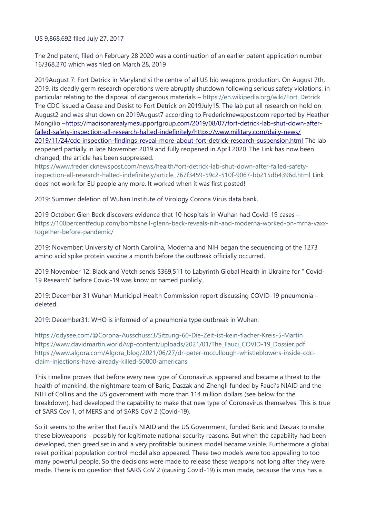US 9,868,692 filed July 27, 2017

The 2nd patent, filed on February 28 2020 was a continuation of an earlier patent application number 16/368,270 which was filed on March 28, 2019

2019August 7: Fort Detrick in Maryland si the centre of all US bio weapons production. On August 7th, 2019, its deadly germ research operations were abruptly shutdown following serious safety violations, in particular relating to the disposal of dangerous materials – [https://en.wikipedia.org/wiki/Fort\\_Detrick](https://en.wikipedia.org/wiki/Fort_Detrick) The CDC issued a Cease and Desist to Fort Detrick on 2019July15. The lab put all research on hold on August2 and was shut down on 2019August7 according to Fredericknewspost.com reported by Heather Mongilio [–https://madisonarealymesupportgroup.com/2019/08/07/fort-detrick-lab-shut-down-after](https://madisonarealymesupportgroup.com/2019/08/07/fort-detrick-lab-shut-down-after-failed-safety-inspection-all-research-halted-indefinitely/)  [failed-safety-inspection-all-research-halted-indefinitely/](https://madisonarealymesupportgroup.com/2019/08/07/fort-detrick-lab-shut-down-after-failed-safety-inspection-all-research-halted-indefinitely/) [https://www.military.com/daily-news/](https://www.military.com/daily-news/2019/11/24/cdc-inspection-findings-reveal-more-about-fort-detrick-research-suspension.html) [2019/11/24/cdc-inspection-findings-reveal-more-about-fort-detrick-research-suspension.html](https://www.military.com/daily-news/2019/11/24/cdc-inspection-findings-reveal-more-about-fort-detrick-research-suspension.html) The lab reopened partially in late November 2019 and fully reopened in April 2020. The Link has now been changed, the article has been suppressed.

[https://www.fredericknewspost.com/news/health/fort-detrick-lab-shut-down-after-failed-safety](https://www.fredericknewspost.com/news/health/fort-detrick-lab-shut-down-after-failed-safety-inspection-all-research-halted-indefinitely/article_767f3459-59c2-510f-9067-bb215db4396d.html)[inspection-all-research-halted-indefinitely/article\\_767f3459-59c2-510f-9067-bb215db4396d.html](https://www.fredericknewspost.com/news/health/fort-detrick-lab-shut-down-after-failed-safety-inspection-all-research-halted-indefinitely/article_767f3459-59c2-510f-9067-bb215db4396d.html) Link does not work for EU people any more. It worked when it was first posted!

2019: Summer deletion of Wuhan Institute of Virology Corona Virus data bank.

2019 October: Glen Beck discovers evidence that 10 hospitals in Wuhan had Covid-19 cases – [https://100percentfedup.com/bombshell-glenn-beck-reveals-nih-and-moderna-worked-on-mrna-vaxx](https://100percentfedup.com/bombshell-glenn-beck-reveals-nih-and-moderna-worked-on-mrna-vaxx-together-before-pandemic/)[together-before-pandemic/](https://100percentfedup.com/bombshell-glenn-beck-reveals-nih-and-moderna-worked-on-mrna-vaxx-together-before-pandemic/)

2019: November: University of North Carolina, Moderna and NIH began the sequencing of the 1273 amino acid spike protein vaccine a month before the outbreak officially occurred.

2019 November 12: Black and Vetch sends \$369,511 to Labyrinth Global Health in Ukraine for " Covid-19 Research" before Covid-19 was know or named publicly..

2019: December 31 Wuhan Municipal Health Commission report discussing COVID-19 pneumonia – deleted.

2019: December31: WHO is informed of a pneumonia type outbreak in Wuhan.

<https://odysee.com/@Corona-Ausschuss:3/Sitzung-60-Die-Zeit-ist-kein-flacher-Kreis-5-Martin> [https://www.davidmartin.world/wp-content/uploads/2021/01/The\\_Fauci\\_COVID-19\\_Dossier.pdf](https://www.davidmartin.world/wp-content/uploads/2021/01/The_Fauci_COVID-19_Dossier.pdf) [https://www.algora.com/Algora\\_blog/2021/06/27/dr-peter-mccullough-whistleblowers-inside-cdc](https://www.algora.com/Algora_blog/2021/06/27/dr-peter-mccullough-whistleblowers-inside-cdc-claim-injections-have-already-killed-50000-americans)[claim-injections-have-already-killed-50000-americans](https://www.algora.com/Algora_blog/2021/06/27/dr-peter-mccullough-whistleblowers-inside-cdc-claim-injections-have-already-killed-50000-americans)

This timeline proves that before every new type of Coronavirus appeared and became a threat to the health of mankind, the nightmare team of Baric, Daszak and Zhengli funded by Fauci's NIAID and the NIH of Collins and the US government with more than 114 million dollars (see below for the breakdown), had developed the capability to make that new type of Coronavirus themselves. This is true of SARS Cov 1, of MERS and of SARS CoV 2 (Covid-19).

So it seems to the writer that Fauci's NIAID and the US Government, funded Baric and Daszak to make these bioweapons – possibly for legitimate national security reasons. But when the capability had been developed, then greed set in and a very profitable business model became visible. Furthermore a global reset political population control model also appeared. These two models were too appealing to too many powerful people. So the decisions were made to release these weapons not long after they were made. There is no question that SARS CoV 2 (causing Covid-19) is man made, because the virus has a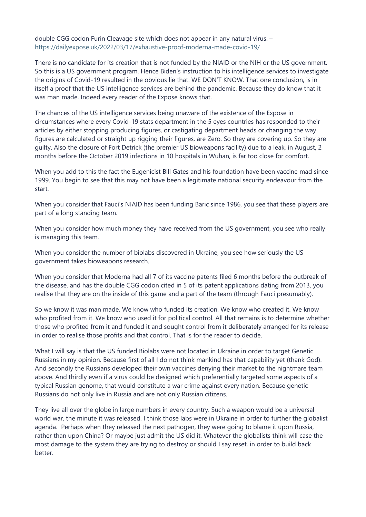double CGG codon Furin Cleavage site which does not appear in any natural virus. – <https://dailyexpose.uk/2022/03/17/exhaustive-proof-moderna-made-covid-19/>

There is no candidate for its creation that is not funded by the NIAID or the NIH or the US government. So this is a US government program. Hence Biden's instruction to his intelligence services to investigate the origins of Covid-19 resulted in the obvious lie that: WE DON'T KNOW. That one conclusion, is in itself a proof that the US intelligence services are behind the pandemic. Because they do know that it was man made. Indeed every reader of the Expose knows that.

The chances of the US intelligence services being unaware of the existence of the Expose in circumstances where every Covid-19 stats department in the 5 eyes countries has responded to their articles by either stopping producing figures, or castigating department heads or changing the way figures are calculated or straight up rigging their figures, are Zero. So they are covering up. So they are guilty. Also the closure of Fort Detrick (the premier US bioweapons facility) due to a leak, in August, 2 months before the October 2019 infections in 10 hospitals in Wuhan, is far too close for comfort.

When you add to this the fact the Eugenicist Bill Gates and his foundation have been vaccine mad since 1999. You begin to see that this may not have been a legitimate national security endeavour from the start.

When you consider that Fauci's NIAID has been funding Baric since 1986, you see that these players are part of a long standing team.

When you consider how much money they have received from the US government, you see who really is managing this team.

When you consider the number of biolabs discovered in Ukraine, you see how seriously the US government takes bioweapons research.

When you consider that Moderna had all 7 of its vaccine patents filed 6 months before the outbreak of the disease, and has the double CGG codon cited in 5 of its patent applications dating from 2013, you realise that they are on the inside of this game and a part of the team (through Fauci presumably).

So we know it was man made. We know who funded its creation. We know who created it. We know who profited from it. We know who used it for political control. All that remains is to determine whether those who profited from it and funded it and sought control from it deliberately arranged for its release in order to realise those profits and that control. That is for the reader to decide.

What I will say is that the US funded Biolabs were not located in Ukraine in order to target Genetic Russians in my opinion. Because first of all I do not think mankind has that capability yet (thank God). And secondly the Russians developed their own vaccines denying their market to the nightmare team above. And thirdly even if a virus could be designed which preferentially targeted some aspects of a typical Russian genome, that would constitute a war crime against every nation. Because genetic Russians do not only live in Russia and are not only Russian citizens.

They live all over the globe in large numbers in every country. Such a weapon would be a universal world war, the minute it was released. I think those labs were in Ukraine in order to further the globalist agenda. Perhaps when they released the next pathogen, they were going to blame it upon Russia, rather than upon China? Or maybe just admit the US did it. Whatever the globalists think will case the most damage to the system they are trying to destroy or should I say reset, in order to build back better.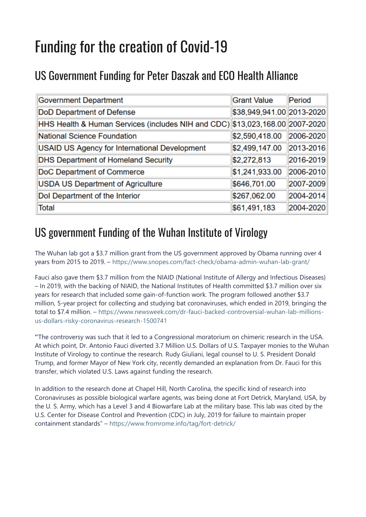## Funding for the creation of Covid-19

### US Government Funding for Peter Daszak and ECO Health Alliance

| <b>Government Department</b>                                                 | <b>Grant Value</b>        | Period    |
|------------------------------------------------------------------------------|---------------------------|-----------|
| <b>DoD Department of Defense</b>                                             | \$38,949,941.00 2013-2020 |           |
| HHS Health & Human Services (includes NIH and CDC) \$13,023,168.00 2007-2020 |                           |           |
| National Science Foundation                                                  | \$2,590,418.00            | 2006-2020 |
| USAID US Agency for International Development                                | \$2,499,147.00            | 2013-2016 |
| <b>DHS Department of Homeland Security</b>                                   | \$2,272,813               | 2016-2019 |
| DoC Department of Commerce                                                   | \$1,241,933.00            | 2006-2010 |
| <b>USDA US Department of Agriculture</b>                                     | \$646,701.00              | 2007-2009 |
| Dol Department of the Interior                                               | \$267,062.00              | 2004-2014 |
| Total                                                                        | \$61,491,183              | 2004-2020 |

#### US government Funding of the Wuhan Institute of Virology

The Wuhan lab got a \$3.7 million grant from the US government approved by Obama running over 4 years from 2015 to 2019. – <https://www.snopes.com/fact-check/obama-admin-wuhan-lab-grant/>

Fauci also gave them \$3.7 million from the NIAID (National Institute of Allergy and Infectious Diseases) – In 2019, with the backing of NIAID, the National Institutes of Health committed \$3.7 million over six years for research that included some gain-of-function work. The program followed another \$3.7 million, 5-year project for collecting and studying bat coronaviruses, which ended in 2019, bringing the total to \$7.4 million. – [https://www.newsweek.com/dr-fauci-backed-controversial-wuhan-lab-millions](https://www.newsweek.com/dr-fauci-backed-controversial-wuhan-lab-millions-us-dollars-risky-coronavirus-research-1500741)[us-dollars-risky-coronavirus-research-1500741](https://www.newsweek.com/dr-fauci-backed-controversial-wuhan-lab-millions-us-dollars-risky-coronavirus-research-1500741)

"The controversy was such that it led to a Congressional moratorium on chimeric research in the USA. At which point, Dr. Antonio Fauci diverted 3.7 Million U.S. Dollars of U.S. Taxpayer monies to the Wuhan Institute of Virology to continue the research. Rudy Giuliani, legal counsel to U. S. President Donald Trump, and former Mayor of New York city, recently demanded an explanation from Dr. Fauci for this transfer, which violated U.S. Laws against funding the research.

In addition to the research done at Chapel Hill, North Carolina, the specific kind of research into Coronaviruses as possible biological warfare agents, was being done at Fort Detrick, Maryland, USA, by the U. S. Army, which has a Level 3 and 4 Biowarfare Lab at the military base. This lab was cited by the U.S. Center for Disease Control and Prevention (CDC) in July, 2019 for failure to maintain proper containment standards" – <https://www.fromrome.info/tag/fort-detrick/>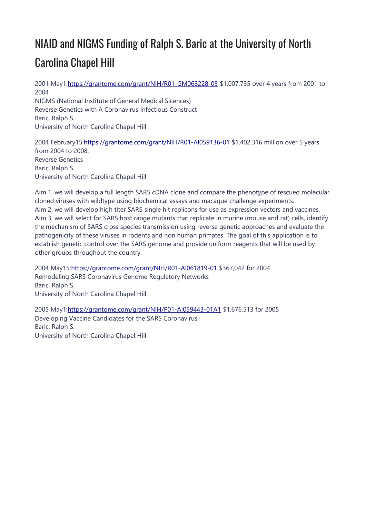### NIAID and NIGMS Funding of Ralph S. Baric at the University of North Carolina Chapel Hill

2001 May1[:https://grantome.com/grant/NIH/R01-GM063228-03](https://grantome.com/grant/NIH/R01-GM063228-03) \$1,007,735 over 4 years from 2001 to 2004 NIGMS (National Institute of General Medical Sicences) Reverse Genetics with A Coronavirus Infectious Construct Baric, Ralph S. University of North Carolina Chapel Hill

2004 February15[:https://grantome.com/grant/NIH/R01-AI059136-01](https://grantome.com/grant/NIH/R01-AI059136-01) \$1.402,316 million over 5 years from 2004 to 2008. Reverse Genetics Baric, Ralph S. University of North Carolina Chapel Hill

Aim 1, we will develop a full length SARS cDNA clone and compare the phenotype of rescued molecular cloned viruses with wildtype using biochemical assays and macaque challenge experiments. Aim 2, we will develop high titer SARS single hit replicons for use as expression vectors and vaccines. Aim 3, we will select for SARS host range mutants that replicate in murine (mouse and rat) cells, identify the mechanism of SARS cross species transmission using reverse genetic approaches and evaluate the pathogenicity of these viruses in rodents and non human primates. The goal of this application is to establish genetic control over the SARS genome and provide uniform reagents that will be used by other groups throughout the country.

2004 May15:<https://grantome.com/grant/NIH/R01-AI061819-01> \$367,042 for 2004 Remodeling SARS Coronavirus Genome Regulatory Networks Baric, Ralph S. University of North Carolina Chapel Hill

2005 May1[:https://grantome.com/grant/NIH/P01-AI059443-01A1](https://grantome.com/grant/NIH/P01-AI059443-01A1) \$1,676,513 for 2005 Developing Vaccine Candidates for the SARS Coronavirus Baric, Ralph S. University of North Carolina Chapel Hill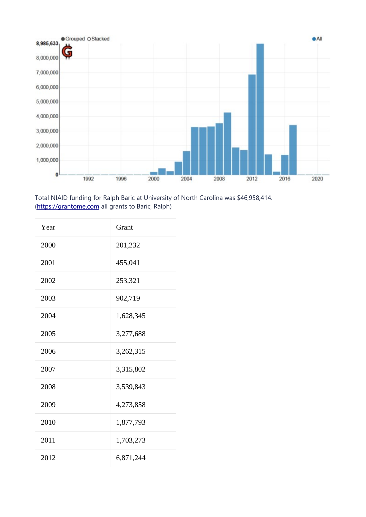

Total NIAID funding for Ralph Baric at University of North Carolina was \$46,958,414. ([https://grantome.com](https://grantome.com/) all grants to Baric, Ralph)

| Year | Grant     |
|------|-----------|
| 2000 | 201,232   |
| 2001 | 455,041   |
| 2002 | 253,321   |
| 2003 | 902,719   |
| 2004 | 1,628,345 |
| 2005 | 3,277,688 |
| 2006 | 3,262,315 |
| 2007 | 3,315,802 |
| 2008 | 3,539,843 |
| 2009 | 4,273,858 |
| 2010 | 1,877,793 |
| 2011 | 1,703,273 |
| 2012 | 6,871,244 |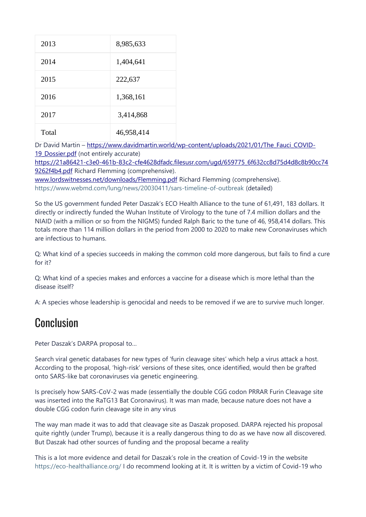| 2013  | 8,985,633  |
|-------|------------|
| 2014  | 1,404,641  |
| 2015  | 222,637    |
| 2016  | 1,368,161  |
| 2017  | 3,414,868  |
| Total | 46,958,414 |

Dr David Martin – https://www.davidmartin.world/wp-content/uploads/2021/01/The Fauci COVID-19 Dossier.pdf (not entirely accurate)

[https://21a86421-c3e0-461b-83c2-cfe4628dfadc.filesusr.com/ugd/659775\\_6f632cc8d75d4d8c8b90cc74](https://21a86421-c3e0-461b-83c2-cfe4628dfadc.filesusr.com/ugd/659775_6f632cc8d75d4d8c8b90cc749262f4b4.pdf) [9262f4b4.pdf](https://21a86421-c3e0-461b-83c2-cfe4628dfadc.filesusr.com/ugd/659775_6f632cc8d75d4d8c8b90cc749262f4b4.pdf) Richard Flemming (comprehensive).

[www.lordswitnesses.net/downloads/Flemming.pdf](http://www.lordswitnesses.net/downloads/Flemming.pdf) Richard Flemming (comprehensive). <https://www.webmd.com/lung/news/20030411/sars-timeline-of-outbreak> (detailed)

So the US government funded Peter Daszak's ECO Health Alliance to the tune of 61,491, 183 dollars. It directly or indirectly funded the Wuhan Institute of Virology to the tune of 7.4 million dollars and the NIAID (with a million or so from the NIGMS) funded Ralph Baric to the tune of 46, 958,414 dollars. This totals more than 114 million dollars in the period from 2000 to 2020 to make new Coronaviruses which are infectious to humans.

Q: What kind of a species succeeds in making the common cold more dangerous, but fails to find a cure for it?

Q: What kind of a species makes and enforces a vaccine for a disease which is more lethal than the disease itself?

A: A species whose leadership is genocidal and needs to be removed if we are to survive much longer.

#### Conclusion

Peter Daszak's DARPA proposal to…

Search viral genetic databases for new types of 'furin cleavage sites' which help a virus attack a host. According to the proposal, 'high-risk' versions of these sites, once identified, would then be grafted onto SARS-like bat coronaviruses via genetic engineering.

Is precisely how SARS-CoV-2 was made (essentially the double CGG codon PRRAR Furin Cleavage site was inserted into the RaTG13 Bat Coronavirus). It was man made, because nature does not have a double CGG codon furin cleavage site in any virus

The way man made it was to add that cleavage site as Daszak proposed. DARPA rejected his proposal quite rightly (under Trump), because it is a really dangerous thing to do as we have now all discovered. But Daszak had other sources of funding and the proposal became a reality

This is a lot more evidence and detail for Daszak's role in the creation of Covid-19 in the website <https://eco-healthalliance.org/> I do recommend looking at it. It is written by a victim of Covid-19 who